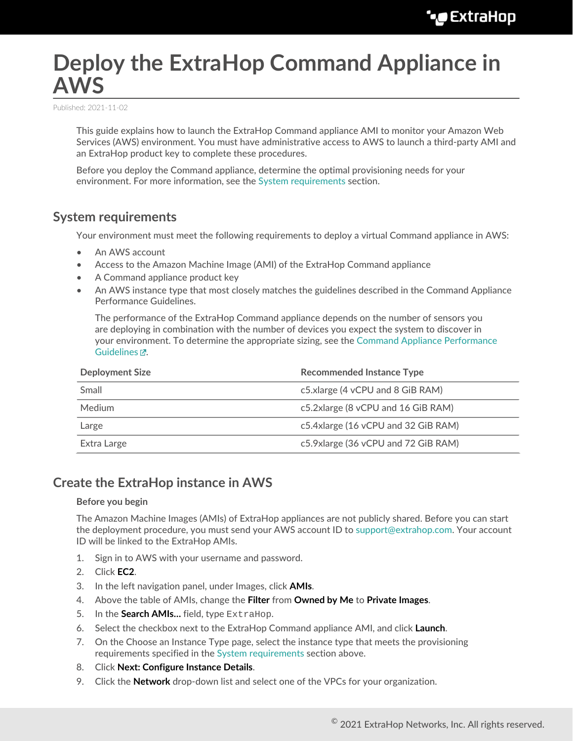# **Deploy the ExtraHop Command Appliance in AWS**

Published: 2021-11-02

This guide explains how to launch the ExtraHop Command appliance AMI to monitor your Amazon Web Services (AWS) environment. You must have administrative access to AWS to launch a third-party AMI and an ExtraHop product key to complete these procedures.

Before you deploy the Command appliance, determine the optimal provisioning needs for your environment. For more information, see the [System requirements](#page-0-0) section.

## <span id="page-0-0"></span>**System requirements**

Your environment must meet the following requirements to deploy a virtual Command appliance in AWS:

- An AWS account
- Access to the Amazon Machine Image (AMI) of the ExtraHop Command appliance
- A Command appliance product key
- An AWS instance type that most closely matches the guidelines described in the Command Appliance Performance Guidelines.

The performance of the ExtraHop Command appliance depends on the number of sensors you are deploying in combination with the number of devices you expect the system to discover in your environment. To determine the appropriate sizing, see the [Command Appliance Performance](https://docs.extrahop.com/8.7/customers/eca-guidelines) [Guidelines](https://docs.extrahop.com/8.7/customers/eca-guidelines) ...

| <b>Deployment Size</b> | <b>Recommended Instance Type</b>    |
|------------------------|-------------------------------------|
| Small                  | c5.xlarge (4 vCPU and 8 GiB RAM)    |
| <b>Medium</b>          | c5.2xlarge (8 vCPU and 16 GiB RAM)  |
| Large                  | c5.4xlarge (16 vCPU and 32 GiB RAM) |
| Extra Large            | c5.9xlarge (36 vCPU and 72 GiB RAM) |

## **Create the ExtraHop instance in AWS**

#### **Before you begin**

The Amazon Machine Images (AMIs) of ExtraHop appliances are not publicly shared. Before you can start the deployment procedure, you must send your AWS account ID to [support@extrahop.com](mailto:support@extrahop.com). Your account ID will be linked to the ExtraHop AMIs.

- 1. Sign in to AWS with your username and password.
- 2. Click **EC2**.
- 3. In the left navigation panel, under Images, click **AMIs**.
- 4. Above the table of AMIs, change the **Filter** from **Owned by Me** to **Private Images**.
- 5. In the **Search AMIs…** field, type ExtraHop.
- 6. Select the checkbox next to the ExtraHop Command appliance AMI, and click **Launch**.
- 7. On the Choose an Instance Type page, select the instance type that meets the provisioning requirements specified in the [System requirements](#page-0-0) section above.
- 8. Click **Next: Configure Instance Details**.
- 9. Click the **Network** drop-down list and select one of the VPCs for your organization.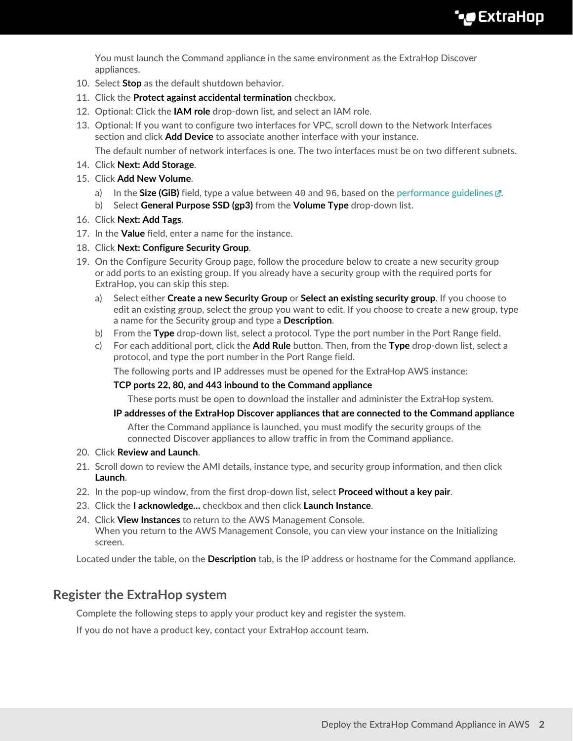You must launch the Command appliance in the same environment as the ExtraHop Discover appliances.

- 10. Select **Stop** as the default shutdown behavior.
- 11. Click the **Protect against accidental termination** checkbox.
- 12. Optional: Click the **IAM role** drop-down list, and select an IAM role.
- 13. Optional: If you want to configure two interfaces for VPC, scroll down to the Network Interfaces section and click **Add Device** to associate another interface with your instance.

The default number of network interfaces is one. The two interfaces must be on two different subnets.

- 14. Click **Next: Add Storage**.
- 15. Click **Add New Volume**.
	- a) In the **Size (GiB)** field, type a value between 40 and 96, based on the performance guidelines **re**.
	- b) Select **General Purpose SSD (gp3)** from the **Volume Type** drop-down list.
- 16. Click **Next: Add Tags**.
- 17. In the **Value** field, enter a name for the instance.
- 18. Click **Next: Configure Security Group**.
- 19. On the Configure Security Group page, follow the procedure below to create a new security group or add ports to an existing group. If you already have a security group with the required ports for ExtraHop, you can skip this step.
	- a) Select either **Create a new Security Group** or **Select an existing security group**. If you choose to edit an existing group, select the group you want to edit. If you choose to create a new group, type a name for the Security group and type a **Description**.
	- b) From the **Type** drop-down list, select a protocol. Type the port number in the Port Range field.
	- c) For each additional port, click the **Add Rule** button. Then, from the **Type** drop-down list, select a protocol, and type the port number in the Port Range field.

The following ports and IP addresses must be opened for the ExtraHop AWS instance:

#### **TCP ports 22, 80, and 443 inbound to the Command appliance**

These ports must be open to download the installer and administer the ExtraHop system.

#### **IP addresses of the ExtraHop Discover appliances that are connected to the Command appliance**

After the Command appliance is launched, you must modify the security groups of the connected Discover appliances to allow traffic in from the Command appliance.

- 20. Click **Review and Launch**.
- 21. Scroll down to review the AMI details, instance type, and security group information, and then click **Launch**.
- 22. In the pop-up window, from the first drop-down list, select **Proceed without a key pair**.
- 23. Click the **I acknowledge…** checkbox and then click **Launch Instance**.
- 24. Click **View Instances** to return to the AWS Management Console. When you return to the AWS Management Console, you can view your instance on the Initializing screen.

Located under the table, on the **Description** tab, is the IP address or hostname for the Command appliance.

## **Register the ExtraHop system**

Complete the following steps to apply your product key and register the system.

If you do not have a product key, contact your ExtraHop account team.